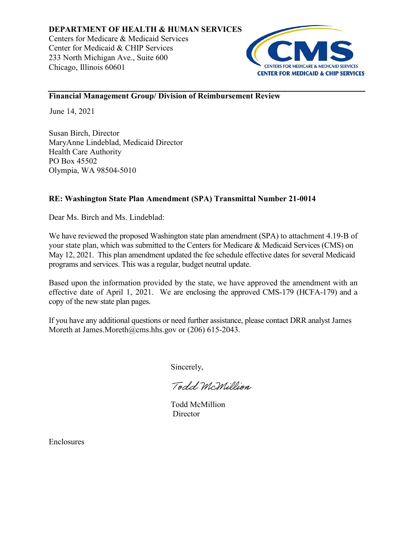

## **Financial Management Group/ Division of Reimbursement Review**

June 14, 2021

Susan Birch, Director MaryAnne Lindeblad, Medicaid Director Health Care Authority PO Box 45502 Olympia, WA 98504-5010

# **RE: Washington State Plan Amendment (SPA) Transmittal Number 21-0014**

Dear Ms. Birch and Ms. Lindeblad:

We have reviewed the proposed Washington state plan amendment (SPA) to attachment 4.19-B of your state plan, which was submitted to the Centers for Medicare & Medicaid Services (CMS) on May 12, 2021. This plan amendment updated the fee schedule effective dates for several Medicaid programs and services. This was a regular, budget neutral update.

Based upon the information provided by the state, we have approved the amendment with an effective date of April 1, 2021. We are enclosing the approved CMS-179 (HCFA-179) and a copy of the new state plan pages.

If you have any additional questions or need further assistance, please contact DRR analyst James Moreth at James.Moreth@cms.hhs.gov or (206) 615-2043.

Sincerely,

Todd McMillion

Todd McMillion **Director** 

Enclosures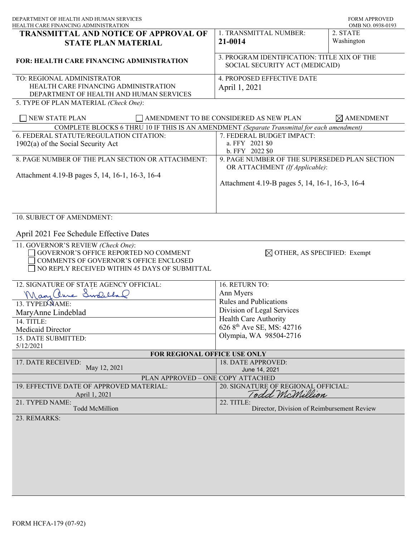| DEPARTMENT OF HEALTH AND HUMAN SERVICES<br>HEALTH CARE FINANCING ADMINISTRATION                                                                                                                                                                                                        |                                                                                                                                                                                                       | <b>FORM APPROVED</b><br>OMB NO. 0938-0193 |
|----------------------------------------------------------------------------------------------------------------------------------------------------------------------------------------------------------------------------------------------------------------------------------------|-------------------------------------------------------------------------------------------------------------------------------------------------------------------------------------------------------|-------------------------------------------|
| <b>TRANSMITTAL AND NOTICE OF APPROVAL OF</b><br><b>STATE PLAN MATERIAL</b>                                                                                                                                                                                                             | 1. TRANSMITTAL NUMBER:<br>21-0014                                                                                                                                                                     | 2. STATE<br>Washington                    |
| FOR: HEALTH CARE FINANCING ADMINISTRATION                                                                                                                                                                                                                                              | 3. PROGRAM IDENTIFICATION: TITLE XIX OF THE<br>SOCIAL SECURITY ACT (MEDICAID)                                                                                                                         |                                           |
| TO: REGIONAL ADMINISTRATOR<br>HEALTH CARE FINANCING ADMINISTRATION<br>DEPARTMENT OF HEALTH AND HUMAN SERVICES<br>5. TYPE OF PLAN MATERIAL (Check One):                                                                                                                                 | 4. PROPOSED EFFECTIVE DATE<br>April 1, 2021                                                                                                                                                           |                                           |
| NEW STATE PLAN<br>AMENDMENT TO BE CONSIDERED AS NEW PLAN<br>$\boxtimes$ AMENDMENT                                                                                                                                                                                                      |                                                                                                                                                                                                       |                                           |
| COMPLETE BLOCKS 6 THRU 10 IF THIS IS AN AMENDMENT (Separate Transmittal for each amendment)<br>6. FEDERAL STATUTE/REGULATION CITATION:<br>$1902(a)$ of the Social Security Act<br>8. PAGE NUMBER OF THE PLAN SECTION OR ATTACHMENT:<br>Attachment 4.19-B pages 5, 14, 16-1, 16-3, 16-4 | 7. FEDERAL BUDGET IMPACT:<br>a. FFY 2021 \$0<br>b. FFY 2022 \$0<br>9. PAGE NUMBER OF THE SUPERSEDED PLAN SECTION<br>OR ATTACHMENT (If Applicable):<br>Attachment 4.19-B pages 5, 14, 16-1, 16-3, 16-4 |                                           |
| 10. SUBJECT OF AMENDMENT:<br>April 2021 Fee Schedule Effective Dates<br>11. GOVERNOR'S REVIEW (Check One):<br>GOVERNOR'S OFFICE REPORTED NO COMMENT<br>COMMENTS OF GOVERNOR'S OFFICE ENCLOSED<br>NO REPLY RECEIVED WITHIN 45 DAYS OF SUBMITTAL                                         | $\boxtimes$ OTHER, AS SPECIFIED: Exempt                                                                                                                                                               |                                           |
| 12. SIGNATURE OF STATE AGENCY OFFICIAL:<br>Mary Chine Swelchand<br>13. TYPED NAME:<br>MaryAnne Lindeblad<br>14. TITLE:<br>Medicaid Director<br>15. DATE SUBMITTED:<br>5/12/2021                                                                                                        | 16. RETURN TO:<br>Ann Myers<br><b>Rules and Publications</b><br>Division of Legal Services<br>Health Care Authority<br>626 8 <sup>th</sup> Ave SE, MS: 42716<br>Olympia, WA 98504-2716                |                                           |
| FOR REGIONAL OFFICE USE ONLY                                                                                                                                                                                                                                                           |                                                                                                                                                                                                       |                                           |
| 17. DATE RECEIVED:<br>May 12, 2021                                                                                                                                                                                                                                                     | 18. DATE APPROVED:<br>June 14, 2021                                                                                                                                                                   |                                           |
| PLAN APPROVED - ONE COPY ATTACHED<br>19. EFFECTIVE DATE OF APPROVED MATERIAL:<br>April 1, 2021<br>21. TYPED NAME:<br>Todd McMillion<br>23. REMARKS:                                                                                                                                    | 20. SIGNATURE OF REGIONAL OFFICIAL:<br>Todd McMillion<br>22. TITLE:<br>Director, Division of Reimbursement Review                                                                                     |                                           |
|                                                                                                                                                                                                                                                                                        |                                                                                                                                                                                                       |                                           |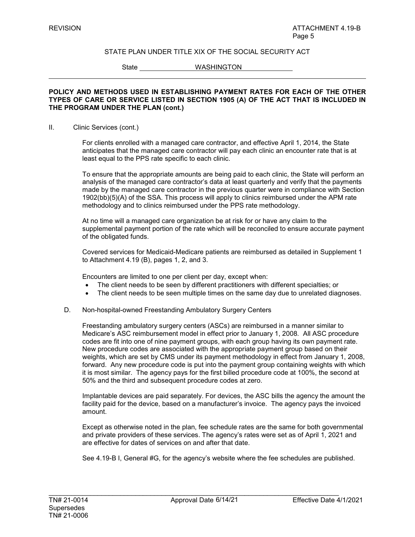State WASHINGTON

#### **POLICY AND METHODS USED IN ESTABLISHING PAYMENT RATES FOR EACH OF THE OTHER TYPES OF CARE OR SERVICE LISTED IN SECTION 1905 (A) OF THE ACT THAT IS INCLUDED IN THE PROGRAM UNDER THE PLAN (cont.)**

#### II. Clinic Services (cont.)

For clients enrolled with a managed care contractor, and effective April 1, 2014, the State anticipates that the managed care contractor will pay each clinic an encounter rate that is at least equal to the PPS rate specific to each clinic.

To ensure that the appropriate amounts are being paid to each clinic, the State will perform an analysis of the managed care contractor's data at least quarterly and verify that the payments made by the managed care contractor in the previous quarter were in compliance with Section 1902(bb)(5)(A) of the SSA. This process will apply to clinics reimbursed under the APM rate methodology and to clinics reimbursed under the PPS rate methodology.

At no time will a managed care organization be at risk for or have any claim to the supplemental payment portion of the rate which will be reconciled to ensure accurate payment of the obligated funds.

Covered services for Medicaid-Medicare patients are reimbursed as detailed in Supplement 1 to Attachment 4.19 (B), pages 1, 2, and 3.

Encounters are limited to one per client per day, except when:

- The client needs to be seen by different practitioners with different specialties; or
- The client needs to be seen multiple times on the same day due to unrelated diagnoses.
- D. Non-hospital-owned Freestanding Ambulatory Surgery Centers

Freestanding ambulatory surgery centers (ASCs) are reimbursed in a manner similar to Medicare's ASC reimbursement model in effect prior to January 1, 2008*.* All ASC procedure codes are fit into one of nine payment groups, with each group having its own payment rate. New procedure codes are associated with the appropriate payment group based on their weights, which are set by CMS under its payment methodology in effect from January 1, 2008, forward. Any new procedure code is put into the payment group containing weights with which it is most similar. The agency pays for the first billed procedure code at 100%, the second at 50% and the third and subsequent procedure codes at zero.

Implantable devices are paid separately. For devices, the ASC bills the agency the amount the facility paid for the device, based on a manufacturer's invoice. The agency pays the invoiced amount.

Except as otherwise noted in the plan, fee schedule rates are the same for both governmental and private providers of these services. The agency's rates were set as of April 1, 2021 and are effective for dates of services on and after that date.

See 4.19-B I, General #G, for the agency's website where the fee schedules are published.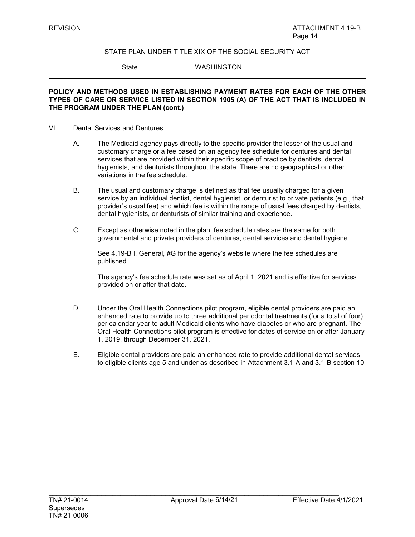State WASHINGTON

#### **POLICY AND METHODS USED IN ESTABLISHING PAYMENT RATES FOR EACH OF THE OTHER TYPES OF CARE OR SERVICE LISTED IN SECTION 1905 (A) OF THE ACT THAT IS INCLUDED IN THE PROGRAM UNDER THE PLAN (cont.)**

#### VI. Dental Services and Dentures

- A. The Medicaid agency pays directly to the specific provider the lesser of the usual and customary charge or a fee based on an agency fee schedule for dentures and dental services that are provided within their specific scope of practice by dentists, dental hygienists, and denturists throughout the state. There are no geographical or other variations in the fee schedule.
- B. The usual and customary charge is defined as that fee usually charged for a given service by an individual dentist, dental hygienist, or denturist to private patients (e.g., that provider's usual fee) and which fee is within the range of usual fees charged by dentists, dental hygienists, or denturists of similar training and experience.
- C. Except as otherwise noted in the plan, fee schedule rates are the same for both governmental and private providers of dentures, dental services and dental hygiene.

See 4.19-B I, General, #G for the agency's website where the fee schedules are published.

The agency's fee schedule rate was set as of April 1, 2021 and is effective for services provided on or after that date.

- D. Under the Oral Health Connections pilot program, eligible dental providers are paid an enhanced rate to provide up to three additional periodontal treatments (for a total of four) per calendar year to adult Medicaid clients who have diabetes or who are pregnant. The Oral Health Connections pilot program is effective for dates of service on or after January 1, 2019, through December 31, 2021.
- E. Eligible dental providers are paid an enhanced rate to provide additional dental services to eligible clients age 5 and under as described in Attachment 3.1-A and 3.1-B section 10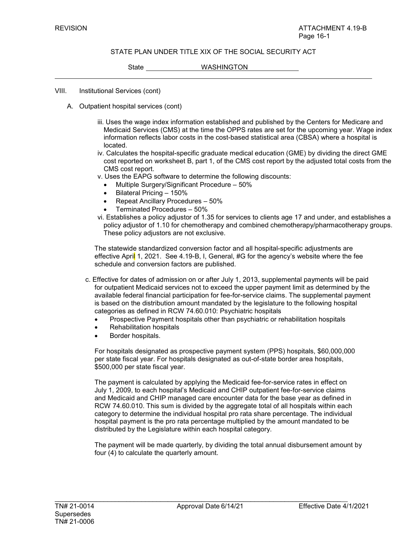State WASHINGTON

VIII. Institutional Services (cont)

- A. Outpatient hospital services (cont)
	- iii. Uses the wage index information established and published by the Centers for Medicare and Medicaid Services (CMS) at the time the OPPS rates are set for the upcoming year. Wage index information reflects labor costs in the cost-based statistical area (CBSA) where a hospital is located.
	- iv. Calculates the hospital-specific graduate medical education (GME) by dividing the direct GME cost reported on worksheet B, part 1, of the CMS cost report by the adjusted total costs from the CMS cost report.
	- v. Uses the EAPG software to determine the following discounts:
		- Multiple Surgery/Significant Procedure 50%
		- Bilateral Pricing 150%
		- Repeat Ancillary Procedures 50%
		- Terminated Procedures 50%
	- vi. Establishes a policy adjustor of 1.35 for services to clients age 17 and under, and establishes a policy adjustor of 1.10 for chemotherapy and combined chemotherapy/pharmacotherapy groups. These policy adjustors are not exclusive.

The statewide standardized conversion factor and all hospital-specific adjustments are effective April 1, 2021. See 4.19-B, I, General, #G for the agency's website where the fee schedule and conversion factors are published.

- c. Effective for dates of admission on or after July 1, 2013, supplemental payments will be paid for outpatient Medicaid services not to exceed the upper payment limit as determined by the available federal financial participation for fee-for-service claims. The supplemental payment is based on the distribution amount mandated by the legislature to the following hospital categories as defined in RCW 74.60.010: Psychiatric hospitals
	- Prospective Payment hospitals other than psychiatric or rehabilitation hospitals
	- Rehabilitation hospitals
	- Border hospitals.

For hospitals designated as prospective payment system (PPS) hospitals, \$60,000,000 per state fiscal year. For hospitals designated as out-of-state border area hospitals, \$500,000 per state fiscal year.

The payment is calculated by applying the Medicaid fee-for-service rates in effect on July 1, 2009, to each hospital's Medicaid and CHIP outpatient fee-for-service claims and Medicaid and CHIP managed care encounter data for the base year as defined in RCW 74.60.010. This sum is divided by the aggregate total of all hospitals within each category to determine the individual hospital pro rata share percentage. The individual hospital payment is the pro rata percentage multiplied by the amount mandated to be distributed by the Legislature within each hospital category.

The payment will be made quarterly, by dividing the total annual disbursement amount by four (4) to calculate the quarterly amount.

\_\_\_\_\_\_\_\_\_\_\_\_\_\_\_\_\_\_\_\_\_\_\_\_\_\_\_\_\_\_\_\_\_\_\_\_\_\_\_\_\_\_\_\_\_\_\_\_\_\_\_\_\_\_\_\_\_\_\_\_\_\_\_\_\_\_\_\_\_\_\_\_\_\_\_\_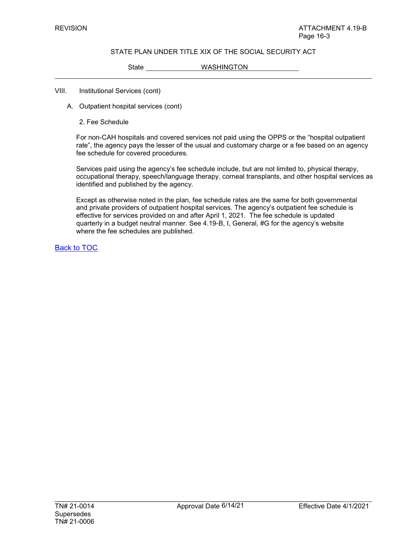State WASHINGTON

#### VIII. Institutional Services (cont)

- A. Outpatient hospital services (cont)
	- 2. Fee Schedule

For non-CAH hospitals and covered services not paid using the OPPS or the "hospital outpatient rate", the agency pays the lesser of the usual and customary charge or a fee based on an agency fee schedule for covered procedures*.* 

Services paid using the agency's fee schedule include, but are not limited to, physical therapy, occupational therapy, speech/language therapy, corneal transplants, and other hospital services as identified and published by the agency.

Except as otherwise noted in the plan, fee schedule rates are the same for both governmental and private providers of outpatient hospital services. The agency's outpatient fee schedule is effective for services provided on and after April 1, 2021. The fee schedule is updated quarterly in a budget neutral manner. See 4.19-B, I, General, #G for the agency's website where the fee schedules are published.

Back to TOC